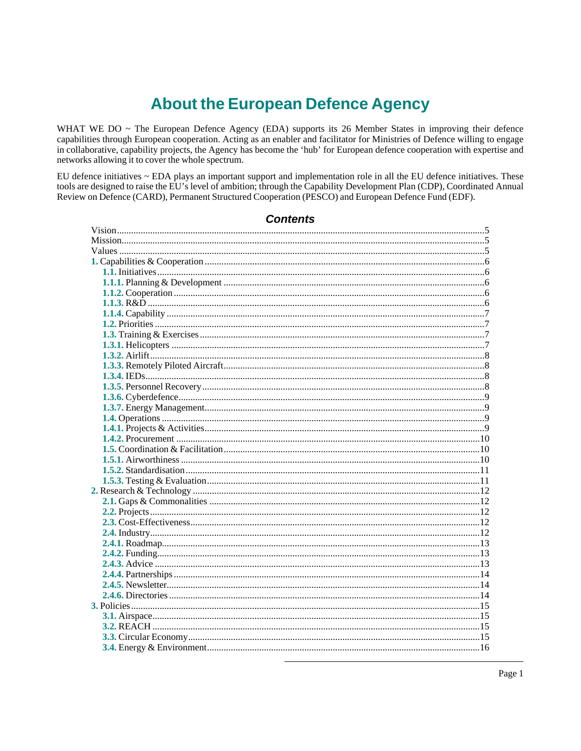# **About the European Defence Agency**

WHAT WE DO ~ The European Defence Agency (EDA) supports its 26 Member States in improving their defence capabilities through European cooperation. Acting as an enabler and facilitator for Ministries of Defence willing to engage in collaborative, capability projects, the Agency has become the 'hub' for European defence cooperation with expertise and networks allowing it to cover the whole spectrum.

EU defence initiatives ~ EDA plays an important support and implementation role in all the EU defence initiatives. These tools are designed to raise the EU's level of ambition; through the Capability Development Plan (CDP), Coordinated Annual Review on Defence (CARD), Permanent Structured Cooperation (PESCO) and European Defence Fund (EDF).

# **Contents**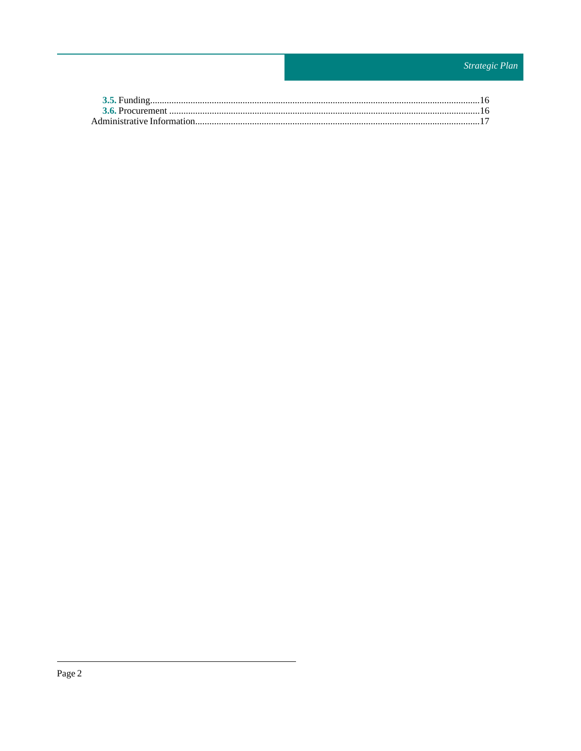# Strategic Plan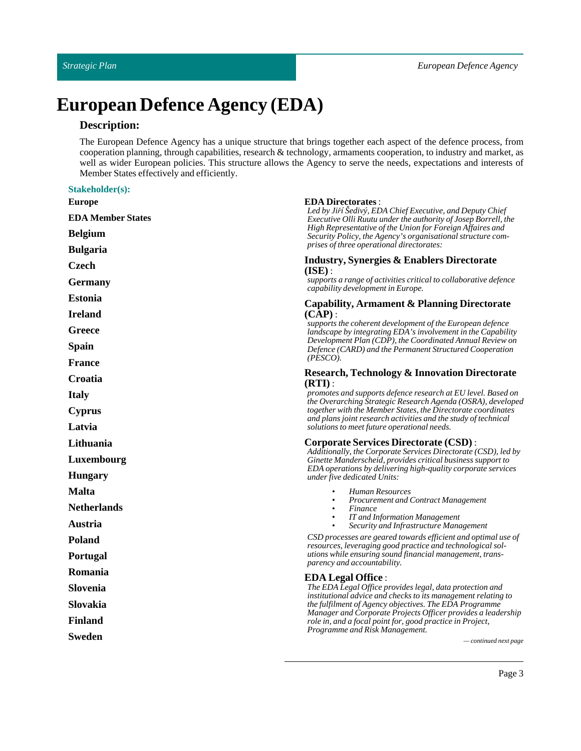# **European Defence Agency (EDA)**

# **Description:**

The European Defence Agency has a unique structure that brings together each aspect of the defence process, from cooperation planning, through capabilities, research & technology, armaments cooperation, to industry and market, as well as wider European policies. This structure allows the Agency to serve the needs, expectations and interests of Member States effectively and efficiently.

#### **Stakeholder(s):**

| <b>Europe</b>            | <b>EDA Directorates:</b>                                                                                                                                                                                                                                |  |
|--------------------------|---------------------------------------------------------------------------------------------------------------------------------------------------------------------------------------------------------------------------------------------------------|--|
| <b>EDA Member States</b> | Led by Jiří Šedivý, EDA Chief Executive, and Deputy Chief<br>Executive Olli Ruutu under the authority of Josep Borrell, the<br>High Representative of the Union for Foreign Affaires and<br>Security Policy, the Agency's organisational structure com- |  |
| <b>Belgium</b>           |                                                                                                                                                                                                                                                         |  |
| <b>Bulgaria</b>          | prises of three operational directorates:                                                                                                                                                                                                               |  |
| <b>Czech</b>             | <b>Industry, Synergies &amp; Enablers Directorate</b><br>(ISE):                                                                                                                                                                                         |  |
| <b>Germany</b>           | supports a range of activities critical to collaborative defence<br>capability development in Europe.                                                                                                                                                   |  |
| <b>Estonia</b>           | Capability, Armament & Planning Directorate                                                                                                                                                                                                             |  |
| <b>Ireland</b>           | $(CAP)$ :                                                                                                                                                                                                                                               |  |
| Greece                   | supports the coherent development of the European defence<br>landscape by integrating EDA's involvement in the Capability                                                                                                                               |  |
| Spain                    | Development Plan (CDP), the Coordinated Annual Review on<br>Defence (CARD) and the Permanent Structured Cooperation                                                                                                                                     |  |
| <b>France</b>            | (PESCO).                                                                                                                                                                                                                                                |  |
| Croatia                  | <b>Research, Technology &amp; Innovation Directorate</b><br>(RTI):                                                                                                                                                                                      |  |
| <b>Italy</b>             | promotes and supports defence research at EU level. Based on<br>the Overarching Strategic Research Agenda (OSRA), developed                                                                                                                             |  |
| <b>Cyprus</b>            | together with the Member States, the Directorate coordinates                                                                                                                                                                                            |  |
| Latvia                   | and plans joint research activities and the study of technical<br>solutions to meet future operational needs.                                                                                                                                           |  |
| Lithuania                | <b>Corporate Services Directorate (CSD):</b>                                                                                                                                                                                                            |  |
| Luxembourg               | Additionally, the Corporate Services Directorate (CSD), led by<br>Ginette Manderscheid, provides critical business support to                                                                                                                           |  |
| <b>Hungary</b>           | EDA operations by delivering high-quality corporate services<br>under five dedicated Units:                                                                                                                                                             |  |
| <b>Malta</b>             | Human Resources<br>$\bullet$                                                                                                                                                                                                                            |  |
| <b>Netherlands</b>       | <b>Procurement and Contract Management</b><br>Finance<br>$\bullet$                                                                                                                                                                                      |  |
| Austria                  | IT and Information Management<br>$\bullet$<br>Security and Infrastructure Management                                                                                                                                                                    |  |
| Poland                   | CSD processes are geared towards efficient and optimal use of<br>resources, leveraging good practice and technological sol-                                                                                                                             |  |
| Portugal                 | utions while ensuring sound financial management, trans-<br>parency and accountability.                                                                                                                                                                 |  |
| Romania                  | <b>EDA Legal Office:</b>                                                                                                                                                                                                                                |  |
| Slovenia                 | The EDA Legal Office provides legal, data protection and<br>institutional advice and checks to its management relating to<br>the fulfilment of Agency objectives. The EDA Programme                                                                     |  |
| Slovakia                 |                                                                                                                                                                                                                                                         |  |
| <b>Finland</b>           | Manager and Corporate Projects Officer provides a leadership<br>role in, and a focal point for, good practice in Project,                                                                                                                               |  |
| <b>Sweden</b>            | Programme and Risk Management.<br>— continued next page                                                                                                                                                                                                 |  |
|                          |                                                                                                                                                                                                                                                         |  |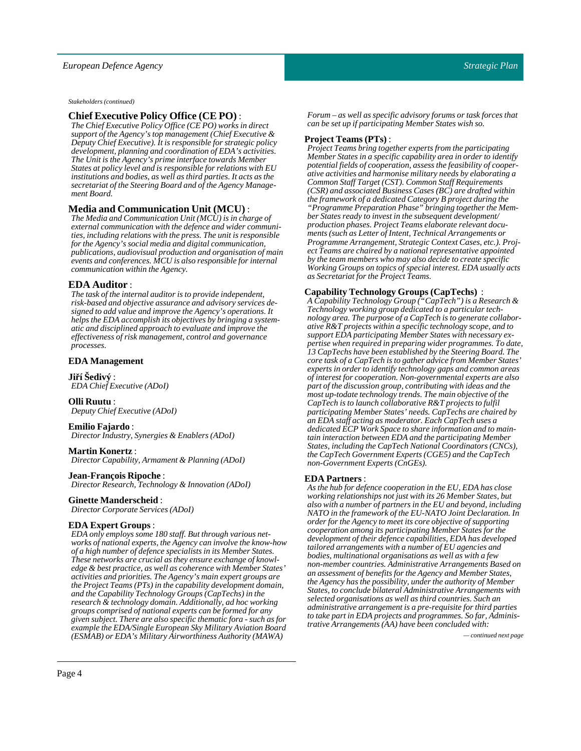*Stakeholders (continued)*

#### **Chief Executive Policy Office (CE PO)** :

*The Chief Executive Policy Office (CE PO) works in direct support of the Agency's top management (Chief Executive & Deputy Chief Executive). It is responsible for strategic policy development, planning and coordination of EDA's activities. The Unit is the Agency's prime interface towards Member States at policy level and is responsible for relations with EU institutions and bodies, as well as third parties. It acts as the secretariat of the Steering Board and of the Agency Management Board.*

#### **Media and Communication Unit (MCU)** :

*The Media and Communication Unit (MCU) is in charge of external communication with the defence and wider communities, including relations with the press. The unit is responsible for the Agency's social media and digital communication, publications, audiovisual production and organisation of main events and conferences. MCU is also responsible for internal communication within the Agency.*

#### **EDA Auditor** :

*The task of the internal auditor is to provide independent, risk-based and objective assurance and advisory services designed to add value and improve the Agency's operations. It helps the EDA accomplish its objectives by bringing a systematic and disciplined approach to evaluate and improve the effectiveness of risk management, control and governance processes.*

#### **EDA Management**

**Jiří Sedivý** :

*EDA Chief Executive (ADoI)*

**Olli Ruutu**:

*Deputy Chief Executive (ADoI)*

#### **Emilio Fajardo** :

*Director Industry, Synergies & Enablers (ADoI)*

#### **Martin Konertz** :

*Director Capability, Armament & Planning (ADoI)*

#### **Jean-François Ripoche** :

*Director Research, Technology & Innovation (ADoI)*

#### **Ginette Manderscheid**:

*Director Corporate Services (ADoI)*

#### **EDA Expert Groups**:

*EDA only employs some 180 staff. But through various networks of national experts, the Agency can involve the know-how of a high number of defence specialists in its Member States. These networks are crucial as they ensure exchange of knowledge & best practice, as well as coherence with Member States' activities and priorities. The Agency's main expert groups are the Project Teams (PTs) in the capability development domain, and the Capability Technology Groups (CapTechs) in the research & technology domain. Additionally, ad hoc working groups comprised of national experts can be formed for any given subject. There are also specific thematic fora - such as for example the EDA/Single European Sky Military Aviation Board (ESMAB) or EDA's Military Airworthiness Authority (MAWA) — continued next page*

*Forum – as well as specific advisory forums or task forces that can be set up if participating Member States wish so.*

#### **Project Teams (PTs)** :

*Project Teams bring together experts from the participating Member States in a specific capability area in order to identify potential fields of cooperation, assess the feasibility of cooperative activities and harmonise military needs by elaborating a Common Staff Target (CST). Common Staff Requirements (CSR) and associated Business Cases (BC) are drafted within the framework of a dedicated Category B project during the "Programme Preparation Phase" bringing together the Member States ready to invest in the subsequent development/ production phases. Project Teams elaborate relevant documents (such as Letter of Intent, Technical Arrangements or Programme Arrangement, Strategic Context Cases, etc.). Project Teams are chaired by a national representative appointed by the team members who may also decide to create specific Working Groups on topics of special interest. EDA usually acts as Secretariat for the Project Teams.*

#### **Capability Technology Groups (CapTechs)** :

*A Capability Technology Group ("CapTech") is a Research & Technology working group dedicated to a particular technology area. The purpose of a CapTech is to generate collaborative R&T projects within a specific technology scope, and to support EDA participating Member States with necessary expertise when required in preparing wider programmes. To date, 13 CapTechs have been established by the Steering Board. The core task of a CapTech is to gather advice from Member States' experts in order to identify technology gaps and common areas of interest for cooperation. Non-governmental experts are also part of the discussion group, contributing with ideas and the most up-todate technology trends. The main objective of the CapTech is to launch collaborative R&T projects to fulfil participating Member States' needs. CapTechs are chaired by an EDA staff acting as moderator. Each CapTech uses a dedicated ECP Work Space to share information and to maintain interaction between EDA and the participating Member States, including the CapTech National Coordinators (CNCs), the CapTech Government Experts (CGE5) and the CapTech non-Government Experts (CnGEs).*

#### **EDA Partners** :

*As the hub for defence cooperation in the EU, EDA has close working relationships not just with its 26 Member States, but also with a number of partners in the EU and beyond, including NATO in the framework of the EU-NATO Joint Declaration. In order for the Agency to meet its core objective of supporting cooperation among its participating Member States for the development of their defence capabilities, EDA has developed tailored arrangements with a number of EU agencies and bodies, multinational organisations as well as with a few non-member countries. Administrative Arrangements Based on an assessment of benefits for the Agency and Member States, the Agency has the possibility, under the authority of Member States, to conclude bilateral Administrative Arrangements with selected organisations as well as third countries. Such an administrative arrangement is a pre-requisite for third parties to take part in EDA projects and programmes. So far, Administrative Arrangements (AA) have been concluded with:*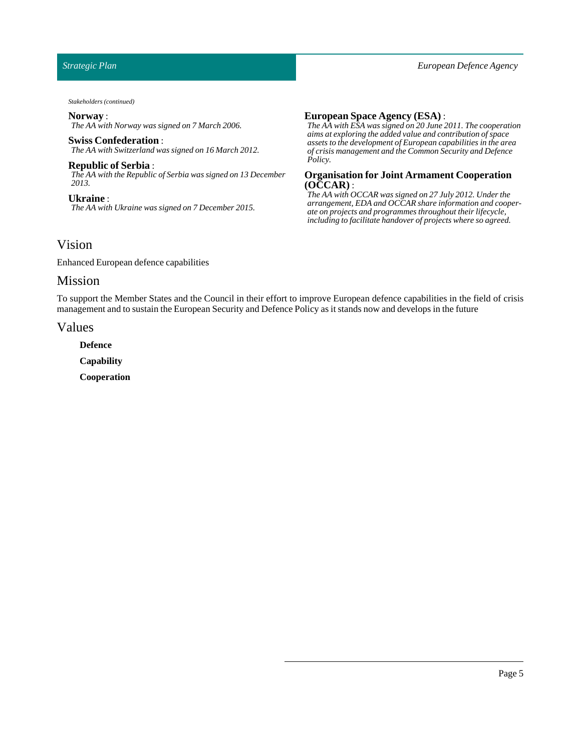*Stakeholders (continued)*

#### **Norway** :

*The AA with Norway was signed on 7 March 2006.*

#### **Swiss Confederation** :

*The AA with Switzerland was signed on 16 March 2012.*

**Republic of Serbia** : *The AA with the Republic of Serbia was signed on 13 December 2013.*

**Ukraine** : *The AA with Ukraine was signed on 7 December 2015.*

#### **European Space Agency (ESA)** :

*The AA with ESA was signed on 20 June 2011. The cooperation aims at exploring the added value and contribution of space assets to the development of European capabilities in the area of crisis management and the Common Security and Defence Policy.*

#### **Organisation for Joint Armament Cooperation (OCCAR)** :

*The AA with OCCAR was signed on 27 July 2012. Under the arrangement, EDA and OCCAR share information and cooperate on projects and programmes throughout their lifecycle, including to facilitate handover of projects where so agreed.*

# <span id="page-4-0"></span>Vision

Enhanced European defence capabilities

# <span id="page-4-1"></span>Mission

To support the Member States and the Council in their effort to improve European defence capabilities in the field of crisis management and to sustain the European Security and Defence Policy as it stands now and develops in the future

#### <span id="page-4-2"></span>Values

**Defence**

**Capability**

**Cooperation**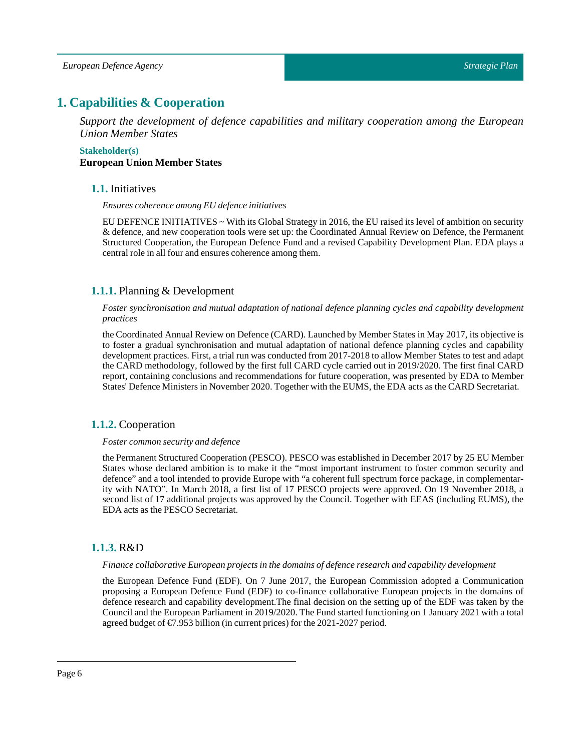# <span id="page-5-0"></span>**1. Capabilities & Cooperation**

*Support the development of defence capabilities and military cooperation among the European Union Member States*

#### <span id="page-5-1"></span>**Stakeholder(s) European Union Member States**

#### **1.1.** Initiatives

*Ensures coherence among EU defence initiatives*

EU DEFENCE INITIATIVES ~ With its Global Strategy in 2016, the EU raised its level of ambition on security & defence, and new cooperation tools were set up: the Coordinated Annual Review on Defence, the Permanent Structured Cooperation, the European Defence Fund and a revised Capability Development Plan. EDA plays a central role in all four and ensures coherence among them.

### <span id="page-5-2"></span>**1.1.1.** Planning & Development

*Foster synchronisation and mutual adaptation of national defence planning cycles and capability development practices*

the Coordinated Annual Review on Defence (CARD). Launched by Member States in May 2017, its objective is to foster a gradual synchronisation and mutual adaptation of national defence planning cycles and capability development practices. First, a trial run was conducted from 2017-2018 to allow Member States to test and adapt the CARD methodology, followed by the first full CARD cycle carried out in 2019/2020. The first final CARD report, containing conclusions and recommendations for future cooperation, was presented by EDA to Member States' Defence Ministers in November 2020. Together with the EUMS, the EDA acts as the CARD Secretariat.

### <span id="page-5-3"></span>**1.1.2.** Cooperation

#### *Foster common security and defence*

the Permanent Structured Cooperation (PESCO). PESCO was established in December 2017 by 25 EU Member States whose declared ambition is to make it the "most important instrument to foster common security and defence" and a tool intended to provide Europe with "a coherent full spectrum force package, in complementarity with NATO". In March 2018, a first list of 17 PESCO projects were approved. On 19 November 2018, a second list of 17 additional projects was approved by the Council. Together with EEAS (including EUMS), the EDA acts as the PESCO Secretariat.

### <span id="page-5-4"></span>**1.1.3.** R&D

#### *Finance collaborative European projects in the domains of defence research and capability development*

the European Defence Fund (EDF). On 7 June 2017, the European Commission adopted a Communication proposing a European Defence Fund (EDF) to co-finance collaborative European projects in the domains of defence research and capability development.The final decision on the setting up of the EDF was taken by the Council and the European Parliament in 2019/2020. The Fund started functioning on 1 January 2021 with a total agreed budget of  $\epsilon$ 7.953 billion (in current prices) for the 2021-2027 period.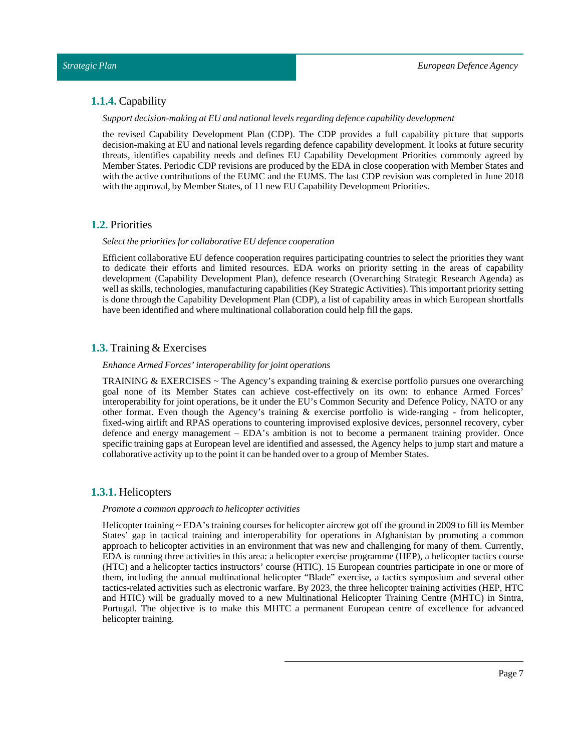#### <span id="page-6-0"></span>**1.1.4.** Capability

*Support decision-making at EU and nationallevels regarding defence capability development*

the revised Capability Development Plan (CDP). The CDP provides a full capability picture that supports decision-making at EU and national levels regarding defence capability development. It looks at future security threats, identifies capability needs and defines EU Capability Development Priorities commonly agreed by Member States. Periodic CDP revisions are produced by the EDA in close cooperation with Member States and with the active contributions of the EUMC and the EUMS. The last CDP revision was completed in June 2018 with the approval, by Member States, of 11 new EU Capability Development Priorities.

#### <span id="page-6-1"></span>**1.2.** Priorities

#### *Selectthe priorities for collaborative EU defence cooperation*

Efficient collaborative EU defence cooperation requires participating countries to select the priorities they want to dedicate their efforts and limited resources. EDA works on priority setting in the areas of capability development (Capability Development Plan), defence research (Overarching Strategic Research Agenda) as well as skills, technologies, manufacturing capabilities (Key Strategic Activities). This important priority setting is done through the Capability Development Plan (CDP), a list of capability areas in which European shortfalls have been identified and where multinational collaboration could help fill the gaps.

#### <span id="page-6-2"></span>**1.3.** Training & Exercises

#### *Enhance Armed Forces' interoperability for joint operations*

TRAINING & EXERCISES  $\sim$  The Agency's expanding training & exercise portfolio pursues one overarching goal none of its Member States can achieve cost-effectively on its own: to enhance Armed Forces' interoperability for joint operations, be it under the EU's Common Security and Defence Policy, NATO or any other format. Even though the Agency's training & exercise portfolio is wide-ranging - from helicopter, fixed-wing airlift and RPAS operations to countering improvised explosive devices, personnel recovery, cyber defence and energy management – EDA's ambition is not to become a permanent training provider. Once specific training gaps at European level are identified and assessed, the Agency helps to jump start and mature a collaborative activity up to the point it can be handed over to a group of Member States.

#### <span id="page-6-3"></span>**1.3.1.** Helicopters

#### *Promote a common approach to helicopter activities*

Helicopter training  $\sim$  EDA's training courses for helicopter aircrew got off the ground in 2009 to fill its Member States' gap in tactical training and interoperability for operations in Afghanistan by promoting a common approach to helicopter activities in an environment that was new and challenging for many of them. Currently, EDA is running three activities in this area: a helicopter exercise programme (HEP), a helicopter tactics course (HTC) and a helicopter tactics instructors' course (HTIC). 15 European countries participate in one or more of them, including the annual multinational helicopter "Blade" exercise, a tactics symposium and several other tactics-related activities such as electronic warfare. By 2023, the three helicopter training activities (HEP, HTC and HTIC) will be gradually moved to a new Multinational Helicopter Training Centre (MHTC) in Sintra, Portugal. The objective is to make this MHTC a permanent European centre of excellence for advanced helicopter training.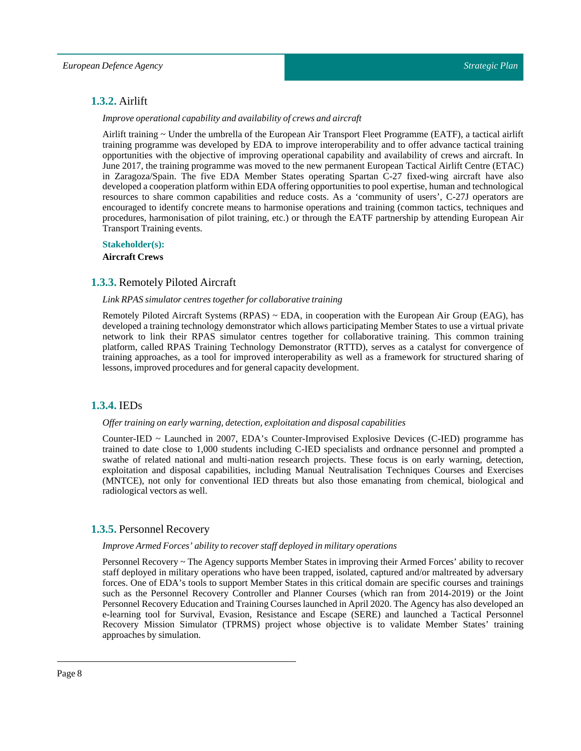# <span id="page-7-0"></span>**1.3.2.** Airlift

#### *Improve operational capability and availability of crews and aircraft*

Airlift training ~ Under the umbrella of the European Air Transport Fleet Programme (EATF), a tactical airlift training programme was developed by EDA to improve interoperability and to offer advance tactical training opportunities with the objective of improving operational capability and availability of crews and aircraft. In June 2017, the training programme was moved to the new permanent European Tactical Airlift Centre (ETAC) in Zaragoza/Spain. The five EDA Member States operating Spartan C-27 fixed-wing aircraft have also developed a cooperation platform within EDA offering opportunities to pool expertise, human and technological resources to share common capabilities and reduce costs. As a 'community of users', C-27J operators are encouraged to identify concrete means to harmonise operations and training (common tactics, techniques and procedures, harmonisation of pilot training, etc.) or through the EATF partnership by attending European Air Transport Training events.

**Stakeholder(s): Aircraft Crews**

#### <span id="page-7-1"></span>**1.3.3.** Remotely Piloted Aircraft

#### *Link RPAS simulator centres together for collaborative training*

Remotely Piloted Aircraft Systems (RPAS) ~ EDA, in cooperation with the European Air Group (EAG), has developed a training technology demonstrator which allows participating Member States to use a virtual private network to link their RPAS simulator centres together for collaborative training. This common training platform, called RPAS Training Technology Demonstrator (RTTD), serves as a catalyst for convergence of training approaches, as a tool for improved interoperability as well as a framework for structured sharing of lessons,improved procedures and for general capacity development.

### <span id="page-7-2"></span>**1.3.4.** IEDs

#### *Offer training on early warning, detection, exploitation and disposal capabilities*

Counter-IED ~ Launched in 2007, EDA's Counter-Improvised Explosive Devices (C-IED) programme has trained to date close to 1,000 students including C-IED specialists and ordnance personnel and prompted a swathe of related national and multi-nation research projects. These focus is on early warning, detection, exploitation and disposal capabilities, including Manual Neutralisation Techniques Courses and Exercises (MNTCE), not only for conventional IED threats but also those emanating from chemical, biological and radiological vectors as well.

#### <span id="page-7-3"></span>**1.3.5.** Personnel Recovery

#### *Improve Armed Forces' ability to recover staff deployed in military operations*

Personnel Recovery ~ The Agency supports Member States in improving their Armed Forces' ability to recover staff deployed in military operations who have been trapped, isolated, captured and/or maltreated by adversary forces. One of EDA's tools to support Member States in this critical domain are specific courses and trainings such as the Personnel Recovery Controller and Planner Courses (which ran from 2014-2019) or the Joint Personnel Recovery Education and Training Courses launched in April 2020. The Agency has also developed an e-learning tool for Survival, Evasion, Resistance and Escape (SERE) and launched a Tactical Personnel Recovery Mission Simulator (TPRMS) project whose objective is to validate Member States' training approaches by simulation.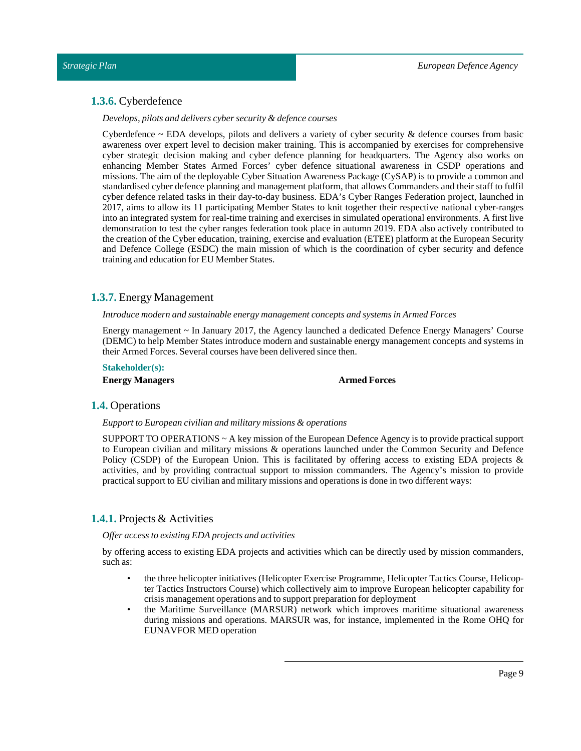#### <span id="page-8-0"></span>**1.3.6.** Cyberdefence

*Develops, pilots and delivers cyber security & defence courses*

Cyberdefence  $\sim$  EDA develops, pilots and delivers a variety of cyber security & defence courses from basic awareness over expert level to decision maker training. This is accompanied by exercises for comprehensive cyber strategic decision making and cyber defence planning for headquarters. The Agency also works on enhancing Member States Armed Forces' cyber defence situational awareness in CSDP operations and missions. The aim of the deployable Cyber Situation Awareness Package (CySAP) is to provide a common and standardised cyber defence planning and management platform, that allows Commanders and their staff to fulfil cyber defence related tasks in their day-to-day business. EDA's Cyber Ranges Federation project, launched in 2017, aims to allow its 11 participating Member States to knit together their respective national cyber-ranges into an integrated system for real-time training and exercises in simulated operational environments. A first live demonstration to test the cyber ranges federation took place in autumn 2019. EDA also actively contributed to the creation of the Cyber education, training, exercise and evaluation (ETEE) platform at the European Security and Defence College (ESDC) the main mission of which is the coordination of cyber security and defence training and education for EU Member States.

#### <span id="page-8-1"></span>**1.3.7.** Energy Management

#### *Introduce modern and sustainable energy management concepts and systems in Armed Forces*

Energy management ~ In January 2017, the Agency launched a dedicated Defence Energy Managers' Course (DEMC) to help Member States introduce modern and sustainable energy management concepts and systems in their Armed Forces. Several courses have been delivered since then.

#### **Stakeholder(s):**

**Energy Managers Armed Forces**

#### <span id="page-8-2"></span>**1.4.** Operations

#### *Eupportto European civilian and military missions & operations*

SUPPORT TO OPERATIONS ~ A key mission of the European Defence Agency is to provide practical support to European civilian and military missions & operations launched under the Common Security and Defence Policy (CSDP) of the European Union. This is facilitated by offering access to existing EDA projects & activities, and by providing contractual support to mission commanders. The Agency's mission to provide practical support to EU civilian and military missions and operations is done in two different ways:

### <span id="page-8-3"></span>**1.4.1.** Projects & Activities

#### *Offer access to existing EDA projects and activities*

by offering access to existing EDA projects and activities which can be directly used by mission commanders, such as:

- the three helicopter initiatives (Helicopter Exercise Programme, Helicopter Tactics Course, Helicopter Tactics Instructors Course) which collectively aim to improve European helicopter capability for crisis management operations and to support preparation for deployment
- the Maritime Surveillance (MARSUR) network which improves maritime situational awareness during missions and operations. MARSUR was, for instance, implemented in the Rome OHQ for EUNAVFOR MED operation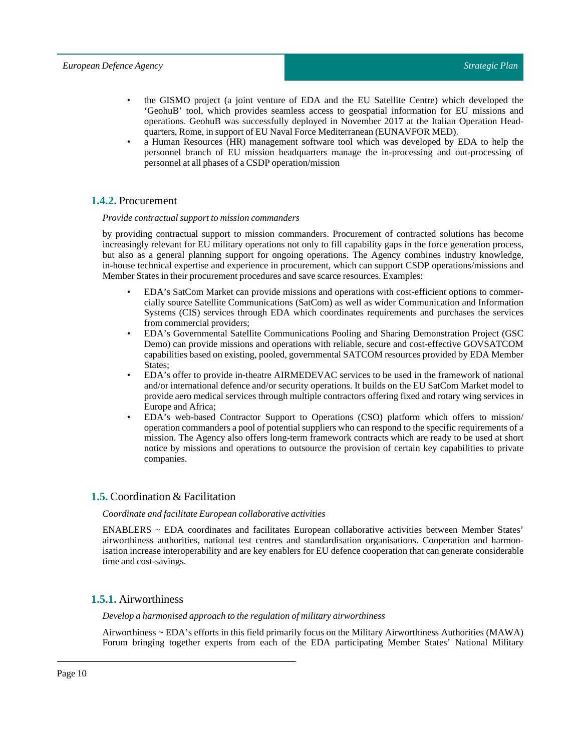- the GISMO project (a joint venture of EDA and the EU Satellite Centre) which developed the 'GeohuB' tool, which provides seamless access to geospatial information for EU missions and operations. GeohuB was successfully deployed in November 2017 at the Italian Operation Headquarters, Rome, in support of EU Naval Force Mediterranean (EUNAVFOR MED).
- a Human Resources (HR) management software tool which was developed by EDA to help the personnel branch of EU mission headquarters manage the in-processing and out-processing of personnel at all phases of a CSDP operation/mission

# <span id="page-9-0"></span>**1.4.2.** Procurement

#### *Provide contractual support to mission commanders*

by providing contractual support to mission commanders. Procurement of contracted solutions has become increasingly relevant for EU military operations not only to fill capability gaps in the force generation process, but also as a general planning support for ongoing operations. The Agency combines industry knowledge, in-house technical expertise and experience in procurement, which can support CSDP operations/missions and Member States in their procurement procedures and save scarce resources. Examples:

- EDA's SatCom Market can provide missions and operations with cost-efficient options to commercially source Satellite Communications (SatCom) as well as wider Communication and Information Systems (CIS) services through EDA which coordinates requirements and purchases the services from commercial providers;
- EDA's Governmental Satellite Communications Pooling and Sharing Demonstration Project (GSC Demo) can provide missions and operations with reliable, secure and cost-effective GOVSATCOM capabilities based on existing, pooled, governmental SATCOM resources provided by EDA Member States;
- EDA's offer to provide in-theatre AIRMEDEVAC services to be used in the framework of national and/or international defence and/or security operations. It builds on the EU SatCom Market model to provide aero medical services through multiple contractors offering fixed and rotary wing services in Europe and Africa;
- EDA's web-based Contractor Support to Operations (CSO) platform which offers to mission/ operation commanders a pool of potential suppliers who can respond to the specific requirements of a mission. The Agency also offers long-term framework contracts which are ready to be used at short notice by missions and operations to outsource the provision of certain key capabilities to private companies.

### <span id="page-9-1"></span>**1.5.** Coordination & Facilitation

#### *Coordinate and facilitate European collaborative activities*

ENABLERS ~ EDA coordinates and facilitates European collaborative activities between Member States' airworthiness authorities, national test centres and standardisation organisations. Cooperation and harmonisation increase interoperability and are key enablers for EU defence cooperation that can generate considerable time and cost-savings.

### <span id="page-9-2"></span>**1.5.1.** Airworthiness

#### *Develop a harmonised approach to the regulation of military airworthiness*

Airworthiness ~ EDA's efforts in this field primarily focus on the Military Airworthiness Authorities (MAWA) Forum bringing together experts from each of the EDA participating Member States' National Military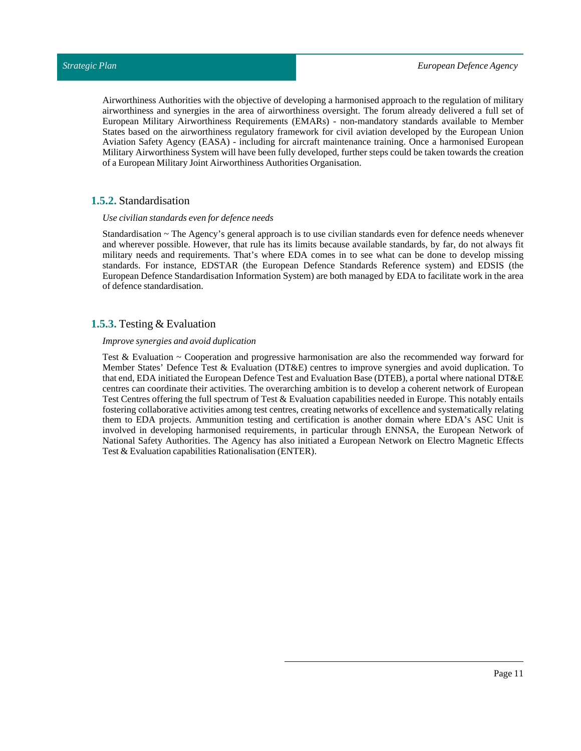Airworthiness Authorities with the objective of developing a harmonised approach to the regulation of military airworthiness and synergies in the area of airworthiness oversight. The forum already delivered a full set of European Military Airworthiness Requirements (EMARs) - non-mandatory standards available to Member States based on the airworthiness regulatory framework for civil aviation developed by the European Union Aviation Safety Agency (EASA) - including for aircraft maintenance training. Once a harmonised European Military Airworthiness System will have been fully developed, further steps could be taken towards the creation of a European Military Joint Airworthiness Authorities Organisation.

#### <span id="page-10-0"></span>**1.5.2.** Standardisation

#### *Use civilian standards even for defence needs*

Standardisation ~ The Agency's general approach is to use civilian standards even for defence needs whenever and wherever possible. However, that rule has its limits because available standards, by far, do not always fit military needs and requirements. That's where EDA comes in to see what can be done to develop missing standards. For instance, EDSTAR (the European Defence Standards Reference system) and EDSIS (the European Defence Standardisation Information System) are both managed by EDA to facilitate work in the area of defence standardisation.

#### <span id="page-10-1"></span>**1.5.3.** Testing & Evaluation

#### *Improve synergies and avoid duplication*

Test & Evaluation ~ Cooperation and progressive harmonisation are also the recommended way forward for Member States' Defence Test & Evaluation (DT&E) centres to improve synergies and avoid duplication. To that end, EDA initiated the European Defence Test and Evaluation Base (DTEB), a portal where national DT&E centres can coordinate their activities. The overarching ambition is to develop a coherent network of European Test Centres offering the full spectrum of Test & Evaluation capabilities needed in Europe. This notably entails fostering collaborative activities among test centres, creating networks of excellence and systematically relating them to EDA projects. Ammunition testing and certification is another domain where EDA's ASC Unit is involved in developing harmonised requirements, in particular through ENNSA, the European Network of National Safety Authorities. The Agency has also initiated a European Network on Electro Magnetic Effects Test & Evaluation capabilities Rationalisation (ENTER).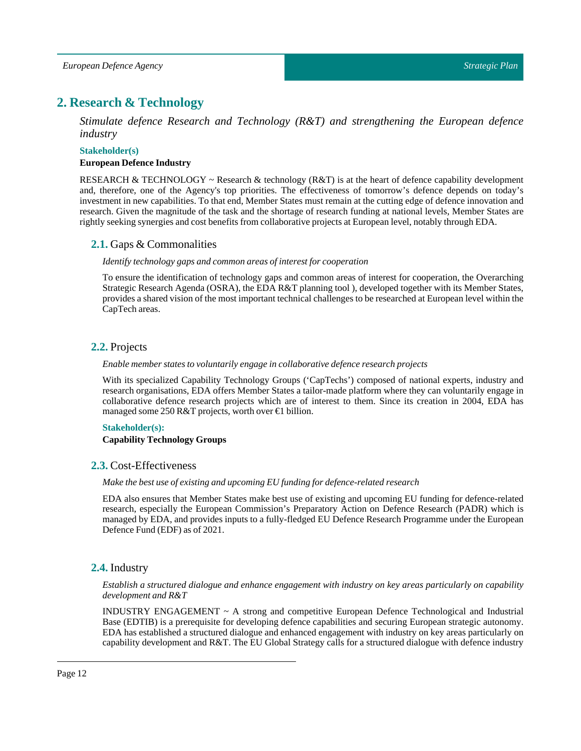# <span id="page-11-0"></span>**2. Research & Technology**

*Stimulate defence Research and Technology (R&T) and strengthening the European defence industry*

#### **Stakeholder(s)**

#### **European Defence Industry**

RESEARCH & TECHNOLOGY  $\sim$  Research & technology (R&T) is at the heart of defence capability development and, therefore, one of the Agency's top priorities. The effectiveness of tomorrow's defence depends on today's investment in new capabilities. To that end, Member States must remain at the cutting edge of defence innovation and research. Given the magnitude of the task and the shortage of research funding at national levels, Member States are rightly seeking synergies and cost benefits from collaborative projects at European level, notably through EDA.

#### <span id="page-11-1"></span>**2.1.** Gaps & Commonalities

#### *Identify technology gaps and common areas ofinterestfor cooperation*

To ensure the identification of technology gaps and common areas of interest for cooperation, the Overarching Strategic Research Agenda (OSRA), the EDA R&T planning tool ), developed together with its Member States, provides a shared vision of the mostimportanttechnical challenges to be researched at European level within the CapTech areas.

### <span id="page-11-2"></span>**2.2.** Projects

#### *Enable member states to voluntarily engage in collaborative defence research projects*

With its specialized Capability Technology Groups ('CapTechs') composed of national experts, industry and research organisations, EDA offers Member States a tailor-made platform where they can voluntarily engage in collaborative defence research projects which are of interest to them. Since its creation in 2004, EDA has managed some 250 R&T projects, worth over €1 billion.

#### **Stakeholder(s):**

#### **Capability Technology Groups**

#### <span id="page-11-3"></span>**2.3.** Cost-Effectiveness

#### *Make the best use of existing and upcoming EU funding for defence-related research*

EDA also ensures that Member States make best use of existing and upcoming EU funding for defence-related research, especially the European Commission's Preparatory Action on Defence Research (PADR) which is managed by EDA, and provides inputs to a fully-fledged EU Defence Research Programme under the European Defence Fund (EDF) as of 2021.

### <span id="page-11-4"></span>**2.4.** Industry

*Establish a structured dialogue and enhance engagement with industry on key areas particularly on capability development and R&T*

INDUSTRY ENGAGEMENT ~ A strong and competitive European Defence Technological and Industrial Base (EDTIB) is a prerequisite for developing defence capabilities and securing European strategic autonomy. EDA has established a structured dialogue and enhanced engagement with industry on key areas particularly on capability development and R&T. The EU Global Strategy calls for a structured dialogue with defence industry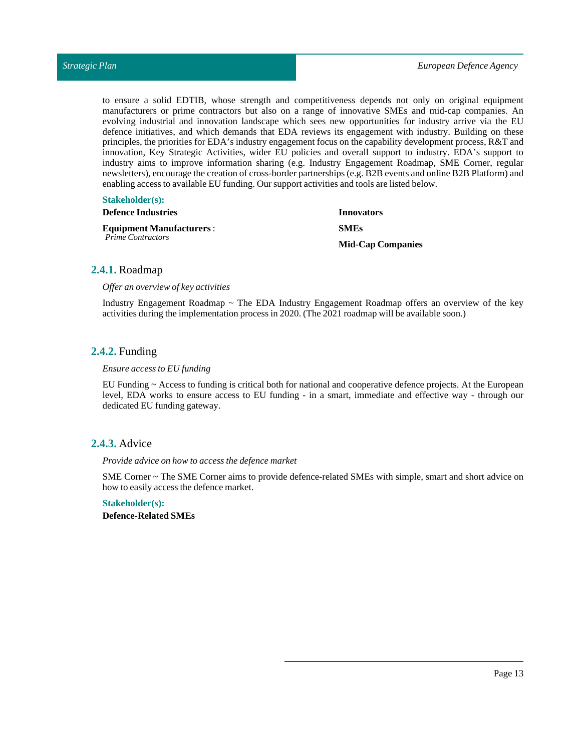to ensure a solid EDTIB, whose strength and competitiveness depends not only on original equipment manufacturers or prime contractors but also on a range of innovative SMEs and mid-cap companies. An evolving industrial and innovation landscape which sees new opportunities for industry arrive via the EU defence initiatives, and which demands that EDA reviews its engagement with industry. Building on these principles, the priorities for EDA's industry engagement focus on the capability development process, R&T and innovation, Key Strategic Activities, wider EU policies and overall support to industry. EDA's support to industry aims to improve information sharing (e.g. Industry Engagement Roadmap, SME Corner, regular newsletters), encourage the creation of cross-border partnerships (e.g. B2B events and online B2B Platform) and enabling access to available EU funding. Our support activities and tools are listed below.

#### **Stakeholder(s):**

| <b>Defence Industries</b>                                   | Innovators               |
|-------------------------------------------------------------|--------------------------|
| <b>Equipment Manufacturers:</b><br><b>Prime Contractors</b> | <b>SMEs</b>              |
|                                                             | <b>Mid-Cap Companies</b> |

#### <span id="page-12-0"></span>**2.4.1.** Roadmap

*Offer an overview of key activities*

Industry Engagement Roadmap ~ The EDA Industry Engagement Roadmap offers an overview of the key activities during the implementation process in 2020. (The 2021 roadmap will be available soon.)

#### <span id="page-12-1"></span>**2.4.2.** Funding

#### *Ensure access to EU funding*

EU Funding ~ Access to funding is critical both for national and cooperative defence projects. At the European level, EDA works to ensure access to EU funding - in a smart, immediate and effective way - through our dedicated EU funding gateway.

#### <span id="page-12-2"></span>**2.4.3.** Advice

*Provide advice on how to access the defence market*

SME Corner ~ The SME Corner aims to provide defence-related SMEs with simple, smart and short advice on how to easily access the defence market.

#### **Stakeholder(s):**

**Defence-RelatedSMEs**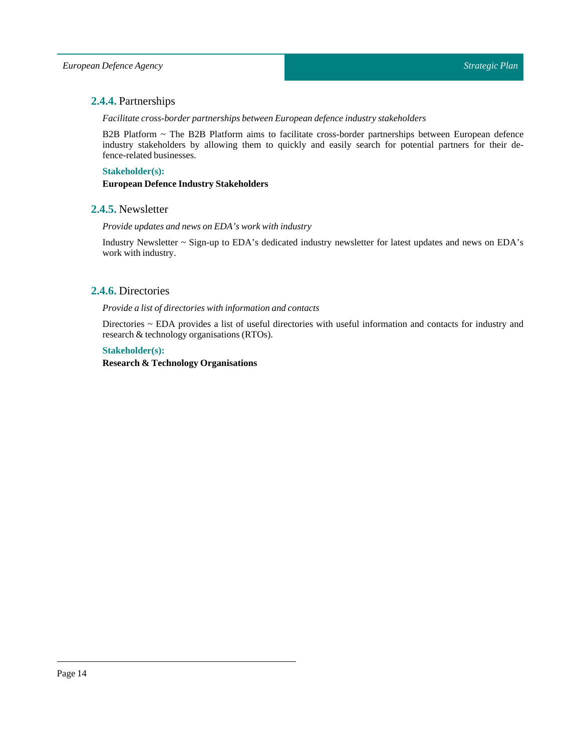# <span id="page-13-0"></span>**2.4.4.** Partnerships

*Facilitate cross-border partnerships between European defence industry stakeholders*

B2B Platform ~ The B2B Platform aims to facilitate cross-border partnerships between European defence industry stakeholders by allowing them to quickly and easily search for potential partners for their defence-related businesses.

#### **Stakeholder(s):**

**European Defence IndustryStakeholders**

#### <span id="page-13-1"></span>**2.4.5.** Newsletter

*Provide updates and news on EDA's work with industry*

Industry Newsletter ~ Sign-up to EDA's dedicated industry newsletter for latest updates and news on EDA's work with industry.

### <span id="page-13-2"></span>**2.4.6.** Directories

#### *Provide a list of directories with information and contacts*

Directories ~ EDA provides a list of useful directories with useful information and contacts for industry and research & technology organisations (RTOs).

#### **Stakeholder(s):**

#### **Research & Technology Organisations**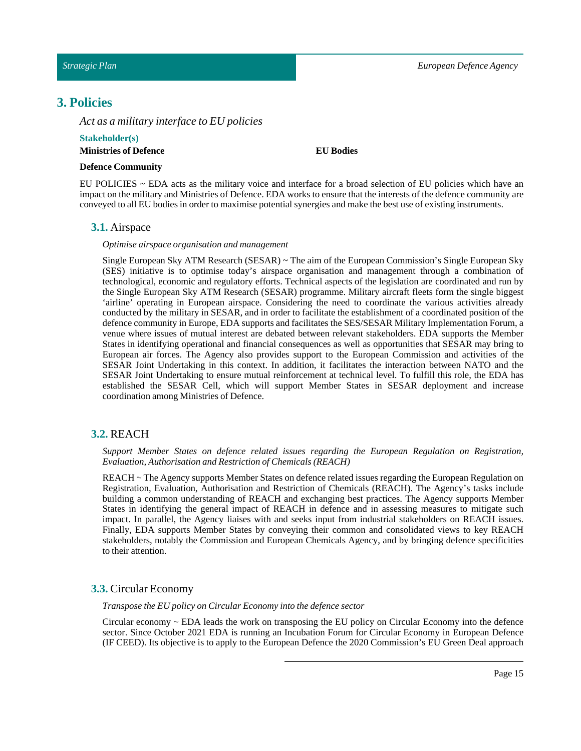# <span id="page-14-0"></span>**3. Policies**

*Act as a military interface to EU policies*

#### **Stakeholder(s) Ministries of Defence**

#### **EU Bodies**

#### **Defence Community**

<span id="page-14-1"></span>EU POLICIES ~ EDA acts as the military voice and interface for a broad selection of EU policies which have an impact on the military and Ministries of Defence. EDA works to ensure that the interests of the defence community are conveyed to all EU bodies in order to maximise potential synergies and make the best use of existing instruments.

#### **3.1.** Airspace

#### *Optimise airspace organisation and management*

Single European Sky ATM Research (SESAR) ~ The aim of the European Commission's Single European Sky (SES) initiative is to optimise today's airspace organisation and management through a combination of technological, economic and regulatory efforts. Technical aspects of the legislation are coordinated and run by the Single European Sky ATM Research (SESAR) programme. Military aircraft fleets form the single biggest 'airline' operating in European airspace. Considering the need to coordinate the various activities already conducted by the military in SESAR, and in order to facilitate the establishment of a coordinated position of the defence community in Europe, EDA supports and facilitates the SES/SESAR Military Implementation Forum, a venue where issues of mutual interest are debated between relevant stakeholders. EDA supports the Member States in identifying operational and financial consequences as well as opportunities that SESAR may bring to European air forces. The Agency also provides support to the European Commission and activities of the SESAR Joint Undertaking in this context. In addition, it facilitates the interaction between NATO and the SESAR Joint Undertaking to ensure mutual reinforcement at technical level. To fulfill this role, the EDA has established the SESAR Cell, which will support Member States in SESAR deployment and increase coordination among Ministries of Defence.

#### <span id="page-14-2"></span>**3.2.** REACH

#### *Support Member States on defence related issues regarding the European Regulation on Registration, Evaluation, Authorisation and Restriction of Chemicals (REACH)*

REACH ~ The Agency supports Member States on defence related issues regarding the European Regulation on Registration, Evaluation, Authorisation and Restriction of Chemicals (REACH). The Agency's tasks include building a common understanding of REACH and exchanging best practices. The Agency supports Member States in identifying the general impact of REACH in defence and in assessing measures to mitigate such impact. In parallel, the Agency liaises with and seeks input from industrial stakeholders on REACH issues. Finally, EDA supports Member States by conveying their common and consolidated views to key REACH stakeholders, notably the Commission and European Chemicals Agency, and by bringing defence specificities to their attention.

#### <span id="page-14-3"></span>**3.3.** Circular Economy

*Transpose the EU policy on Circular Economy into the defence sector*

Circular economy ~ EDA leads the work on transposing the EU policy on Circular Economy into the defence sector. Since October 2021 EDA is running an Incubation Forum for Circular Economy in European Defence (IF CEED). Its objective is to apply to the European Defence the 2020 Commission's EU Green Deal approach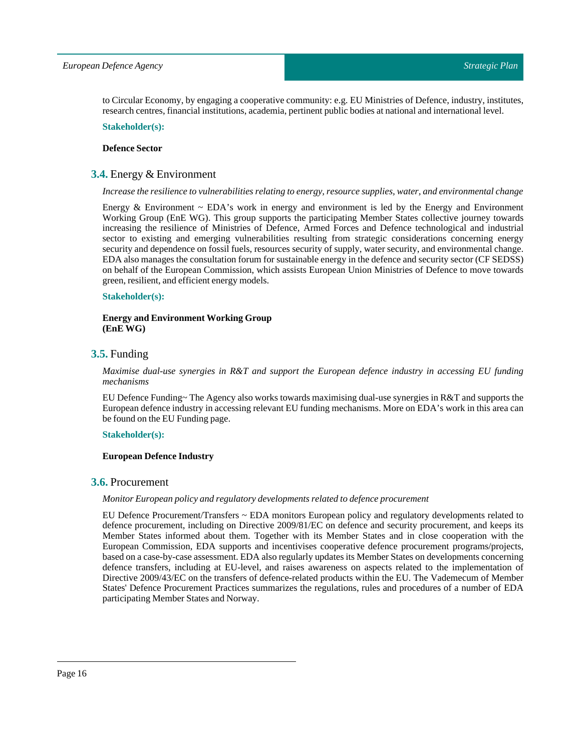to Circular Economy, by engaging a cooperative community: e.g. EU Ministries of Defence, industry, institutes, research centres, financial institutions, academia, pertinent public bodies at national and international level.

**Stakeholder(s):**

#### **DefenceSector**

#### <span id="page-15-0"></span>**3.4.** Energy & Environment

#### *Increase the resilience to vulnerabilities relating to energy, resource supplies, water, and environmental change*

Energy & Environment  $\sim$  EDA's work in energy and environment is led by the Energy and Environment Working Group (EnE WG). This group supports the participating Member States collective journey towards increasing the resilience of Ministries of Defence, Armed Forces and Defence technological and industrial sector to existing and emerging vulnerabilities resulting from strategic considerations concerning energy security and dependence on fossil fuels, resources security of supply, water security, and environmental change. EDA also manages the consultation forum for sustainable energy in the defence and security sector (CF SEDSS) on behalf of the European Commission, which assists European Union Ministries of Defence to move towards green, resilient, and efficient energy models.

#### **Stakeholder(s):**

#### **Energy and Environment Working Group (EnE WG)**

#### <span id="page-15-1"></span>**3.5.** Funding

*Maximise dual-use synergies in R&T and support the European defence industry in accessing EU funding mechanisms*

EU Defence Funding~ The Agency also works towards maximising dual-use synergies in R&T and supports the European defence industry in accessing relevant EU funding mechanisms. More on EDA's work in this area can be found on the EU Funding page.

#### **Stakeholder(s):**

#### **European Defence Industry**

#### <span id="page-15-2"></span>**3.6.** Procurement

#### *Monitor European policy and regulatory developments related to defence procurement*

EU Defence Procurement/Transfers ~ EDA monitors European policy and regulatory developments related to defence procurement, including on Directive 2009/81/EC on defence and security procurement, and keeps its Member States informed about them. Together with its Member States and in close cooperation with the European Commission, EDA supports and incentivises cooperative defence procurement programs/projects, based on a case-by-case assessment. EDA also regularly updates its Member States on developments concerning defence transfers, including at EU-level, and raises awareness on aspects related to the implementation of Directive 2009/43/EC on the transfers of defence-related products within the EU. The Vademecum of Member States' Defence Procurement Practices summarizes the regulations, rules and procedures of a number of EDA participating Member States and Norway.